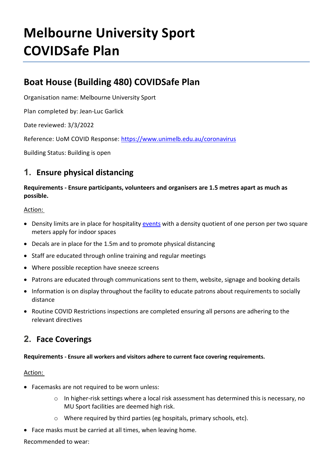# **Melbourne University Sport COVIDSafe Plan**

# **Boat House (Building 480) COVIDSafe Plan**

Organisation name: Melbourne University Sport

Plan completed by: Jean-Luc Garlick

Date reviewed: 3/3/2022

Reference: UoM COVID Response:<https://www.unimelb.edu.au/coronavirus>

Building Status: Building is open

## **1. Ensure physical distancing**

#### **Requirements - Ensure participants, volunteers and organisers are 1.5 metres apart as much as possible.**

#### Action:

- Density limits are in place for hospitality [events](https://staff.unimelb.edu.au/covid-19-response/events-and-covid-19) with a density quotient of one person per two square meters apply for indoor spaces
- Decals are in place for the 1.5m and to promote physical distancing
- Staff are educated through online training and regular meetings
- Where possible reception have sneeze screens
- Patrons are educated through communications sent to them, website, signage and booking details
- Information is on display throughout the facility to educate patrons about requirements to socially distance
- Routine COVID Restrictions inspections are completed ensuring all persons are adhering to the relevant directives

## **2. Face Coverings**

#### **Requirements - Ensure all workers and visitors adhere to current face covering requirements.**

#### Action:

- Facemasks are not required to be worn unless:
	- o In higher-risk settings where a local risk assessment has determined this is necessary, no MU Sport facilities are deemed high risk.
	- o Where required by third parties (eg hospitals, primary schools, etc).
- Face masks must be carried at all times, when leaving home.

Recommended to wear: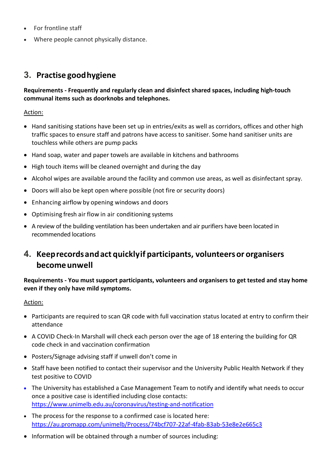- For frontline staff
- Where people cannot physically distance.

# **3. Practise goodhygiene**

**Requirements - Frequently and regularly clean and disinfect shared spaces, including high-touch communal items such as doorknobs and telephones.**

#### Action:

- Hand sanitising stations have been set up in entries/exits as well as corridors, offices and other high traffic spaces to ensure staff and patrons have access to sanitiser. Some hand sanitiser units are touchless while others are pump packs
- Hand soap, water and paper towels are available in kitchens and bathrooms
- High touch items will be cleaned overnight and during the day
- Alcohol wipes are available around the facility and common use areas, as well as disinfectant spray.
- Doors will also be kept open where possible (not fire or security doors)
- Enhancing airflow by opening windows and doors
- Optimising fresh air flow in air conditioning systems
- A review of the building ventilation has been undertaken and air purifiers have been located in recommended locations

# **4. Keeprecordsandact quicklyif participants, volunteersor organisers becomeunwell**

**Requirements - You must support participants, volunteers and organisers to get tested and stay home even if they only have mild symptoms.**

#### Action:

- Participants are required to scan QR code with full vaccination status located at entry to confirm their attendance
- A COVID Check-In Marshall will check each person over the age of 18 entering the building for QR code check in and vaccination confirmation
- Posters/Signage advising staff if unwell don't come in
- Staff have been notified to contact their supervisor and the University Public Health Network if they test positive to COVID
- The University has established a Case Management Team to notify and identify what needs to occur once a positive case is identified including close contacts: <https://www.unimelb.edu.au/coronavirus/testing-and-notification>
- The process for the response to a confirmed case is located here: <https://au.promapp.com/unimelb/Process/74bcf707-22af-4fab-83ab-53e8e2e665c3>
- Information will be obtained through a number of sources including: